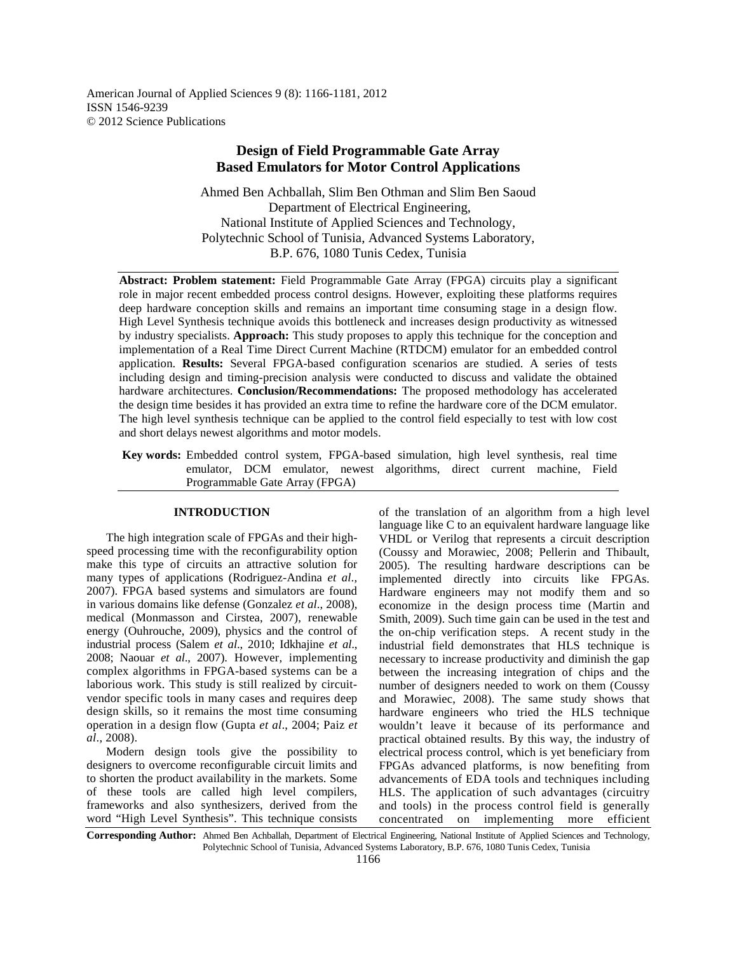American Journal of Applied Sciences 9 (8): 1166-1181, 2012 ISSN 1546-9239 © 2012 Science Publications

# **Design of Field Programmable Gate Array Based Emulators for Motor Control Applications**

Ahmed Ben Achballah, Slim Ben Othman and Slim Ben Saoud Department of Electrical Engineering, National Institute of Applied Sciences and Technology, Polytechnic School of Tunisia, Advanced Systems Laboratory, B.P. 676, 1080 Tunis Cedex, Tunisia

**Abstract: Problem statement:** Field Programmable Gate Array (FPGA) circuits play a significant role in major recent embedded process control designs. However, exploiting these platforms requires deep hardware conception skills and remains an important time consuming stage in a design flow. High Level Synthesis technique avoids this bottleneck and increases design productivity as witnessed by industry specialists. **Approach:** This study proposes to apply this technique for the conception and implementation of a Real Time Direct Current Machine (RTDCM) emulator for an embedded control application. **Results:** Several FPGA-based configuration scenarios are studied. A series of tests including design and timing-precision analysis were conducted to discuss and validate the obtained hardware architectures. **Conclusion/Recommendations:** The proposed methodology has accelerated the design time besides it has provided an extra time to refine the hardware core of the DCM emulator. The high level synthesis technique can be applied to the control field especially to test with low cost and short delays newest algorithms and motor models.

**Key words:** Embedded control system, FPGA-based simulation, high level synthesis, real time emulator, DCM emulator, newest algorithms, direct current machine, Field Programmable Gate Array (FPGA)

## **INTRODUCTION**

 The high integration scale of FPGAs and their highspeed processing time with the reconfigurability option make this type of circuits an attractive solution for many types of applications (Rodriguez-Andina *et al*., 2007). FPGA based systems and simulators are found in various domains like defense (Gonzalez *et al*., 2008), medical (Monmasson and Cirstea, 2007), renewable energy (Ouhrouche, 2009), physics and the control of industrial process (Salem *et al*., 2010; Idkhajine *et al*., 2008; Naouar *et al*., 2007). However, implementing complex algorithms in FPGA-based systems can be a laborious work. This study is still realized by circuitvendor specific tools in many cases and requires deep design skills, so it remains the most time consuming operation in a design flow (Gupta *et al*., 2004; Paiz *et al*., 2008).

 Modern design tools give the possibility to designers to overcome reconfigurable circuit limits and to shorten the product availability in the markets. Some of these tools are called high level compilers, frameworks and also synthesizers, derived from the word "High Level Synthesis". This technique consists

of the translation of an algorithm from a high level language like C to an equivalent hardware language like VHDL or Verilog that represents a circuit description (Coussy and Morawiec, 2008; Pellerin and Thibault, 2005). The resulting hardware descriptions can be implemented directly into circuits like FPGAs. Hardware engineers may not modify them and so economize in the design process time (Martin and Smith, 2009). Such time gain can be used in the test and the on-chip verification steps. A recent study in the industrial field demonstrates that HLS technique is necessary to increase productivity and diminish the gap between the increasing integration of chips and the number of designers needed to work on them (Coussy and Morawiec, 2008). The same study shows that hardware engineers who tried the HLS technique wouldn't leave it because of its performance and practical obtained results. By this way, the industry of electrical process control, which is yet beneficiary from FPGAs advanced platforms, is now benefiting from advancements of EDA tools and techniques including HLS. The application of such advantages (circuitry and tools) in the process control field is generally concentrated on implementing more efficient

**Corresponding Author:** Ahmed Ben Achballah, Department of Electrical Engineering, National Institute of Applied Sciences and Technology, Polytechnic School of Tunisia, Advanced Systems Laboratory, B.P. 676, 1080 Tunis Cedex, Tunisia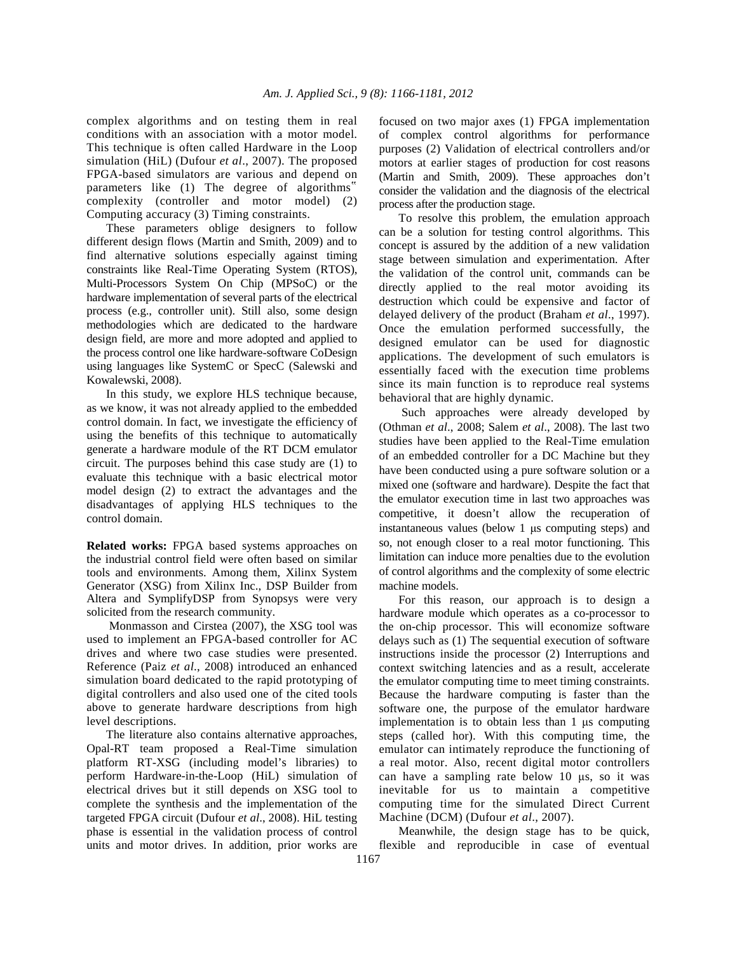complex algorithms and on testing them in real conditions with an association with a motor model. This technique is often called Hardware in the Loop simulation (HiL) (Dufour *et al*., 2007). The proposed FPGA-based simulators are various and depend on parameters like (1) The degree of algorithms" complexity (controller and motor model) (2) Computing accuracy (3) Timing constraints.

 These parameters oblige designers to follow different design flows (Martin and Smith, 2009) and to find alternative solutions especially against timing constraints like Real-Time Operating System (RTOS), Multi-Processors System On Chip (MPSoC) or the hardware implementation of several parts of the electrical process (e.g., controller unit). Still also, some design methodologies which are dedicated to the hardware design field, are more and more adopted and applied to the process control one like hardware-software CoDesign using languages like SystemC or SpecC (Salewski and Kowalewski, 2008).

 In this study, we explore HLS technique because, as we know, it was not already applied to the embedded control domain. In fact, we investigate the efficiency of using the benefits of this technique to automatically generate a hardware module of the RT DCM emulator circuit. The purposes behind this case study are (1) to evaluate this technique with a basic electrical motor model design (2) to extract the advantages and the disadvantages of applying HLS techniques to the control domain.

**Related works:** FPGA based systems approaches on the industrial control field were often based on similar tools and environments. Among them, Xilinx System Generator (XSG) from Xilinx Inc., DSP Builder from Altera and SymplifyDSP from Synopsys were very solicited from the research community.

 Monmasson and Cirstea (2007), the XSG tool was used to implement an FPGA-based controller for AC drives and where two case studies were presented. Reference (Paiz *et al*., 2008) introduced an enhanced simulation board dedicated to the rapid prototyping of digital controllers and also used one of the cited tools above to generate hardware descriptions from high level descriptions.

 The literature also contains alternative approaches, Opal-RT team proposed a Real-Time simulation platform RT-XSG (including model's libraries) to perform Hardware-in-the-Loop (HiL) simulation of electrical drives but it still depends on XSG tool to complete the synthesis and the implementation of the targeted FPGA circuit (Dufour *et al*., 2008). HiL testing phase is essential in the validation process of control units and motor drives. In addition, prior works are focused on two major axes (1) FPGA implementation of complex control algorithms for performance purposes (2) Validation of electrical controllers and/or motors at earlier stages of production for cost reasons (Martin and Smith, 2009). These approaches don't consider the validation and the diagnosis of the electrical process after the production stage.

 To resolve this problem, the emulation approach can be a solution for testing control algorithms. This concept is assured by the addition of a new validation stage between simulation and experimentation. After the validation of the control unit, commands can be directly applied to the real motor avoiding its destruction which could be expensive and factor of delayed delivery of the product (Braham *et al*., 1997). Once the emulation performed successfully, the designed emulator can be used for diagnostic applications. The development of such emulators is essentially faced with the execution time problems since its main function is to reproduce real systems behavioral that are highly dynamic.

 Such approaches were already developed by (Othman *et al*., 2008; Salem *et al*., 2008). The last two studies have been applied to the Real-Time emulation of an embedded controller for a DC Machine but they have been conducted using a pure software solution or a mixed one (software and hardware). Despite the fact that the emulator execution time in last two approaches was competitive, it doesn't allow the recuperation of instantaneous values (below 1 µs computing steps) and so, not enough closer to a real motor functioning. This limitation can induce more penalties due to the evolution of control algorithms and the complexity of some electric machine models.

 For this reason, our approach is to design a hardware module which operates as a co-processor to the on-chip processor. This will economize software delays such as (1) The sequential execution of software instructions inside the processor (2) Interruptions and context switching latencies and as a result, accelerate the emulator computing time to meet timing constraints. Because the hardware computing is faster than the software one, the purpose of the emulator hardware implementation is to obtain less than 1 µs computing steps (called hor). With this computing time, the emulator can intimately reproduce the functioning of a real motor. Also, recent digital motor controllers can have a sampling rate below 10 µs, so it was inevitable for us to maintain a competitive computing time for the simulated Direct Current Machine (DCM) (Dufour *et al*., 2007).

 Meanwhile, the design stage has to be quick, flexible and reproducible in case of eventual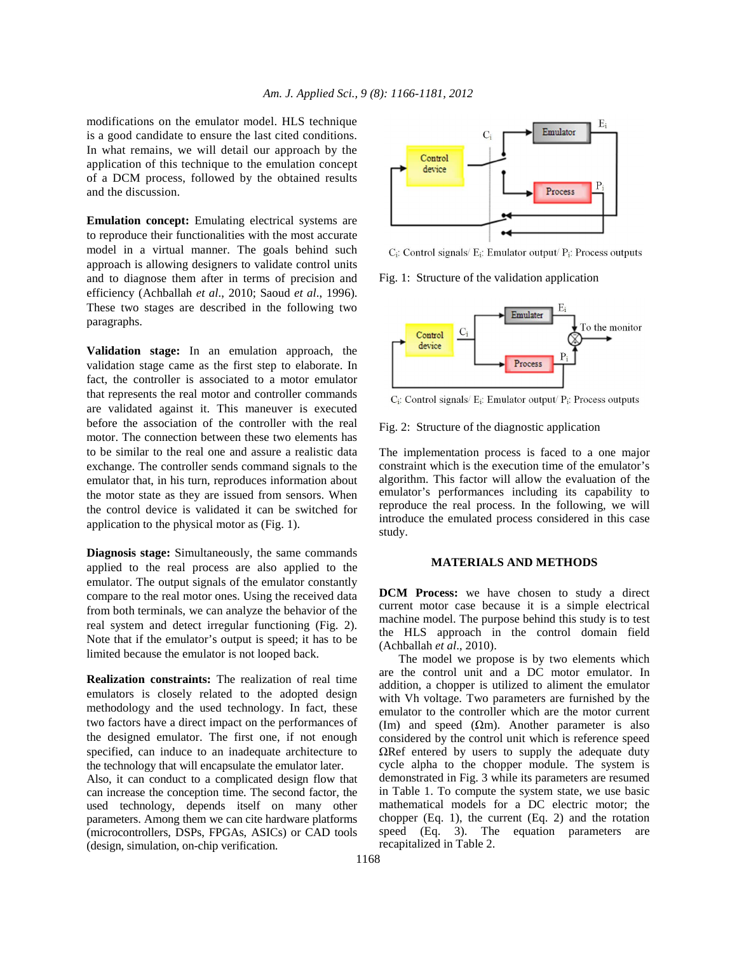modifications on the emulator model. HLS technique is a good candidate to ensure the last cited conditions. In what remains, we will detail our approach by the application of this technique to the emulation concept of a DCM process, followed by the obtained results and the discussion.

**Emulation concept:** Emulating electrical systems are to reproduce their functionalities with the most accurate model in a virtual manner. The goals behind such approach is allowing designers to validate control units and to diagnose them after in terms of precision and efficiency (Achballah *et al*., 2010; Saoud *et al*., 1996). These two stages are described in the following two paragraphs.

**Validation stage:** In an emulation approach, the validation stage came as the first step to elaborate. In fact, the controller is associated to a motor emulator that represents the real motor and controller commands are validated against it. This maneuver is executed before the association of the controller with the real motor. The connection between these two elements has to be similar to the real one and assure a realistic data exchange. The controller sends command signals to the emulator that, in his turn, reproduces information about the motor state as they are issued from sensors. When the control device is validated it can be switched for application to the physical motor as (Fig. 1).

**Diagnosis stage:** Simultaneously, the same commands applied to the real process are also applied to the emulator. The output signals of the emulator constantly compare to the real motor ones. Using the received data from both terminals, we can analyze the behavior of the real system and detect irregular functioning (Fig. 2). Note that if the emulator's output is speed; it has to be limited because the emulator is not looped back.

**Realization constraints:** The realization of real time emulators is closely related to the adopted design methodology and the used technology. In fact, these two factors have a direct impact on the performances of the designed emulator. The first one, if not enough specified, can induce to an inadequate architecture to the technology that will encapsulate the emulator later.

Also, it can conduct to a complicated design flow that can increase the conception time. The second factor, the used technology, depends itself on many other parameters. Among them we can cite hardware platforms (microcontrollers, DSPs, FPGAs, ASICs) or CAD tools (design, simulation, on-chip verification.



 $C_i$ : Control signals/ $E_i$ : Emulator output/ $P_i$ : Process outputs

Fig. 1: Structure of the validation application



C<sub>i</sub>: Control signals/ E<sub>i</sub>: Emulator output/ P<sub>i</sub>: Process outputs

Fig. 2: Structure of the diagnostic application

The implementation process is faced to a one major constraint which is the execution time of the emulator's algorithm. This factor will allow the evaluation of the emulator's performances including its capability to reproduce the real process. In the following, we will introduce the emulated process considered in this case study.

#### **MATERIALS AND METHODS**

**DCM Process:** we have chosen to study a direct current motor case because it is a simple electrical machine model. The purpose behind this study is to test the HLS approach in the control domain field (Achballah *et al*., 2010).

 The model we propose is by two elements which are the control unit and a DC motor emulator. In addition, a chopper is utilized to aliment the emulator with Vh voltage. Two parameters are furnished by the emulator to the controller which are the motor current (Im) and speed ( $\Omega$ m). Another parameter is also considered by the control unit which is reference speed ΩRef entered by users to supply the adequate duty cycle alpha to the chopper module. The system is demonstrated in Fig. 3 while its parameters are resumed in Table 1. To compute the system state, we use basic mathematical models for a DC electric motor; the chopper  $(Eq. 1)$ , the current  $(Eq. 2)$  and the rotation speed (Eq. 3). The equation parameters are recapitalized in Table 2.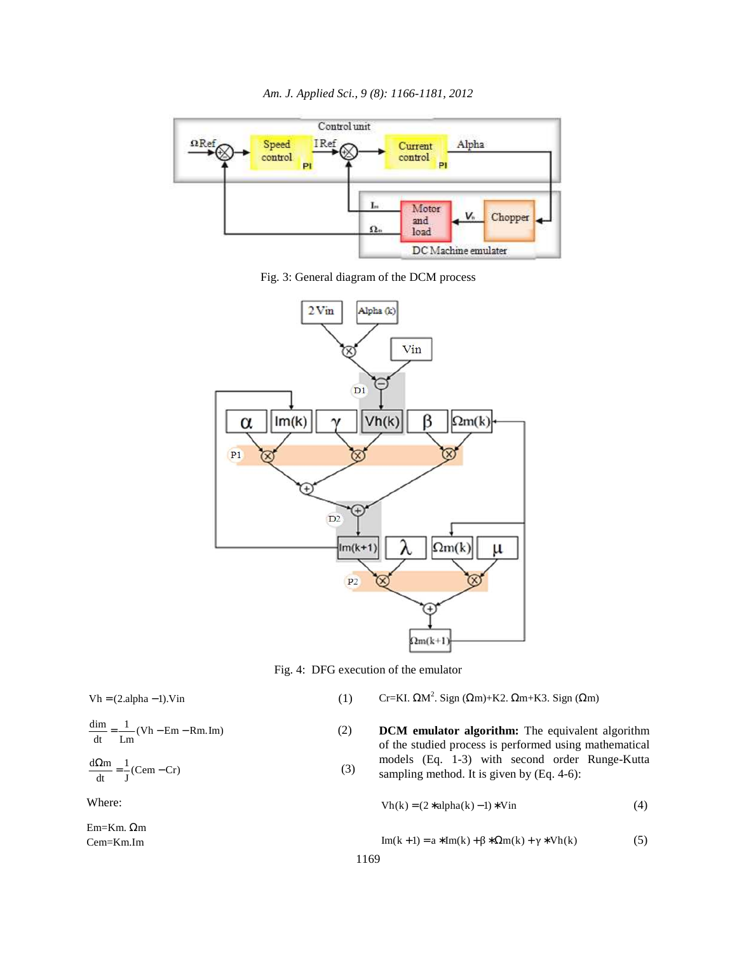

Fig. 3: General diagram of the DCM process



Fig. 4: DFG execution of the emulator

 $Vh = (2. \text{alpha} - 1)$ . Vin  $(1)$ 

$$
\frac{dim}{dt} = \frac{1}{Lm}(Vh - Em - Rm. Im)
$$
 (2)

$$
\frac{d\Omega m}{dt} = \frac{1}{J}(Cem - Cr)
$$
 (3)

Where:

Em=Km. Ωm Cem=Km.Im

$$
Cr=KL \Omega M^2. Sign (\Omega m)+K2. \Omega m+K3. Sign (\Omega m)
$$

**DCM** emulator algorithm: The equivalent algorithm of the studied process is performed using mathematical models (Eq. 1-3) with second order Runge-Kutta sampling method. It is given by (Eq. 4-6):

$$
Vh(k) = (2 * alpha(k) - 1) * Vin
$$
 (4)

$$
Im(k+1) = a * Im(k) + \beta * \Omega m(k) + \gamma * Vh(k)
$$
 (5)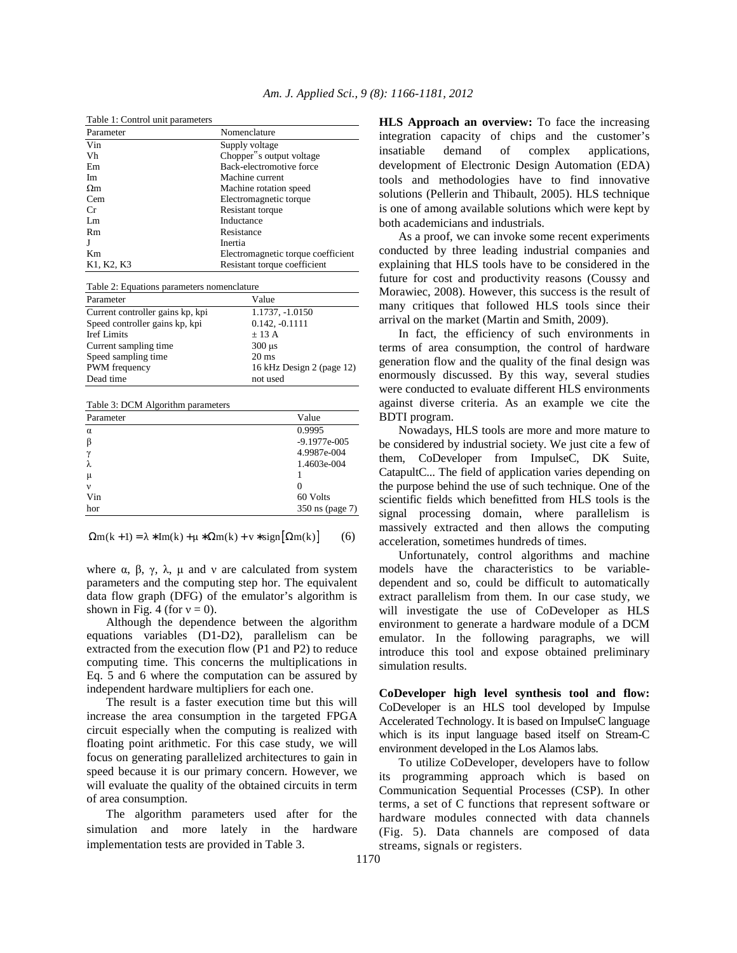| Table 1: Control unit parameters |                                       |
|----------------------------------|---------------------------------------|
| Parameter                        | Nomenclature                          |
| Vin                              | Supply voltage                        |
| Vh                               | Chopper <sup>"</sup> s output voltage |
| Em                               | Back-electromotive force              |
| Im                               | Machine current                       |
| $\Omega$ m                       | Machine rotation speed                |
| Cem                              | Electromagnetic torque                |
| Cr.                              | Resistant torque                      |
| Lm                               | Inductance                            |
| Rm                               | Resistance                            |
|                                  | Inertia                               |
| Km                               | Electromagnetic torque coefficient    |
| K1, K2, K3                       | Resistant torque coefficient          |

Table 2: Equations parameters nomenclature Parameter **Value** Current controller gains kp, kpi  $1.1737, -1.0150$ <br>Speed controller gains kp, kpi  $0.142, -0.1111$ Speed controller gains kp, kpi  $0.142$ , -0.142,  $\pm$  13 A Iref Limits Current sampling time 300 µs<br>Speed sampling time 20 ms Speed sampling time PWM frequency 16 kHz Design 2 (page 12)

Table 3: DCM Algorithm parameters

Dead time not used

| Parameter | Value            |  |  |
|-----------|------------------|--|--|
| $\alpha$  | 0.9995           |  |  |
| ß         | $-9.1977e - 005$ |  |  |
| $\gamma$  | 4.9987e-004      |  |  |
| λ         | 1.4603e-004      |  |  |
| μ         |                  |  |  |
| ν         | 0                |  |  |
| Vin       | 60 Volts         |  |  |
| hor       | 350 ns (page 7)  |  |  |

 $\Omega$ m(k + 1) =  $\lambda * Im(k) + \mu * \Omega$ m(k) + v \* sign  $\Omega$ m(k)  $\Big|$  (6)

where  $\alpha$ ,  $\beta$ ,  $\gamma$ ,  $\lambda$ ,  $\mu$  and  $\nu$  are calculated from system parameters and the computing step hor. The equivalent data flow graph (DFG) of the emulator's algorithm is shown in Fig. 4 (for  $v = 0$ ).

 Although the dependence between the algorithm equations variables (D1-D2), parallelism can be extracted from the execution flow (P1 and P2) to reduce computing time. This concerns the multiplications in Eq. 5 and 6 where the computation can be assured by independent hardware multipliers for each one.

 The result is a faster execution time but this will increase the area consumption in the targeted FPGA circuit especially when the computing is realized with floating point arithmetic. For this case study, we will focus on generating parallelized architectures to gain in speed because it is our primary concern. However, we will evaluate the quality of the obtained circuits in term of area consumption.

 The algorithm parameters used after for the simulation and more lately in the hardware implementation tests are provided in Table 3.

**HLS Approach an overview:** To face the increasing integration capacity of chips and the customer's insatiable demand of complex applications, development of Electronic Design Automation (EDA) tools and methodologies have to find innovative solutions (Pellerin and Thibault, 2005). HLS technique is one of among available solutions which were kept by both academicians and industrials.

 As a proof, we can invoke some recent experiments conducted by three leading industrial companies and explaining that HLS tools have to be considered in the future for cost and productivity reasons (Coussy and Morawiec, 2008). However, this success is the result of many critiques that followed HLS tools since their arrival on the market (Martin and Smith, 2009).

 In fact, the efficiency of such environments in terms of area consumption, the control of hardware generation flow and the quality of the final design was enormously discussed. By this way, several studies were conducted to evaluate different HLS environments against diverse criteria. As an example we cite the BDTI program.

 Nowadays, HLS tools are more and more mature to be considered by industrial society. We just cite a few of them, CoDeveloper from ImpulseC, DK Suite, CatapultC... The field of application varies depending on the purpose behind the use of such technique. One of the scientific fields which benefitted from HLS tools is the signal processing domain, where parallelism is massively extracted and then allows the computing acceleration, sometimes hundreds of times.

 Unfortunately, control algorithms and machine models have the characteristics to be variabledependent and so, could be difficult to automatically extract parallelism from them. In our case study, we will investigate the use of CoDeveloper as HLS environment to generate a hardware module of a DCM emulator. In the following paragraphs, we will introduce this tool and expose obtained preliminary simulation results.

**CoDeveloper high level synthesis tool and flow:**  CoDeveloper is an HLS tool developed by Impulse Accelerated Technology. It is based on ImpulseC language which is its input language based itself on Stream-C environment developed in the Los Alamos labs.

 To utilize CoDeveloper, developers have to follow its programming approach which is based on Communication Sequential Processes (CSP). In other terms, a set of C functions that represent software or hardware modules connected with data channels (Fig. 5). Data channels are composed of data streams, signals or registers.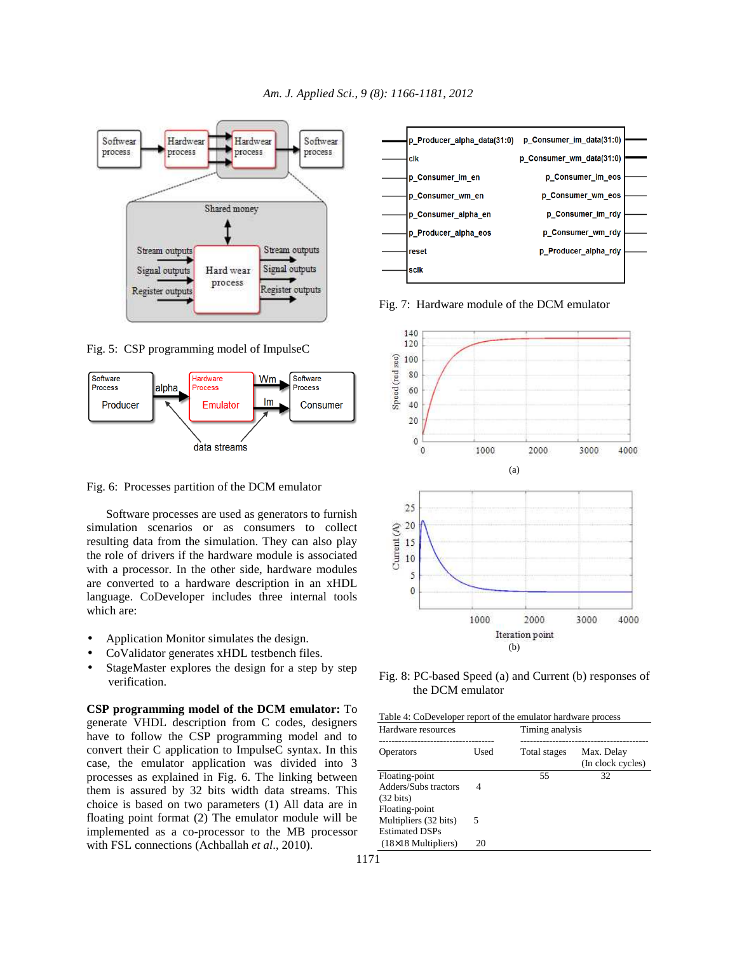

Fig. 5: CSP programming model of ImpulseC



Fig. 6: Processes partition of the DCM emulator

 Software processes are used as generators to furnish simulation scenarios or as consumers to collect resulting data from the simulation. They can also play the role of drivers if the hardware module is associated with a processor. In the other side, hardware modules are converted to a hardware description in an xHDL language. CoDeveloper includes three internal tools which are:

- Application Monitor simulates the design.
- CoValidator generates xHDL testbench files.
- StageMaster explores the design for a step by step verification.

**CSP programming model of the DCM emulator:** To generate VHDL description from C codes, designers have to follow the CSP programming model and to convert their C application to ImpulseC syntax. In this case, the emulator application was divided into 3 processes as explained in Fig. 6. The linking between them is assured by 32 bits width data streams. This choice is based on two parameters (1) All data are in floating point format (2) The emulator module will be implemented as a co-processor to the MB processor with FSL connections (Achballah *et al*., 2010).



Fig. 7: Hardware module of the DCM emulator



Fig. 8: PC-based Speed (a) and Current (b) responses of the DCM emulator

| Table 4: CoDeveloper report of the emulator hardware process |  |
|--------------------------------------------------------------|--|
|--------------------------------------------------------------|--|

| Hardware resources                                               |      | Timing analysis |                                 |  |
|------------------------------------------------------------------|------|-----------------|---------------------------------|--|
| Operators                                                        | Used | Total stages    | Max. Delay<br>(In clock cycles) |  |
| Floating-point<br>Adders/Subs tractors<br>$(32 \text{ bits})$    | 4    | 55              | 32                              |  |
| Floating-point<br>Multipliers (32 bits)<br><b>Estimated DSPs</b> | 5    |                 |                                 |  |
| $(18\times18)$ Multipliers)                                      | 20   |                 |                                 |  |
|                                                                  |      |                 |                                 |  |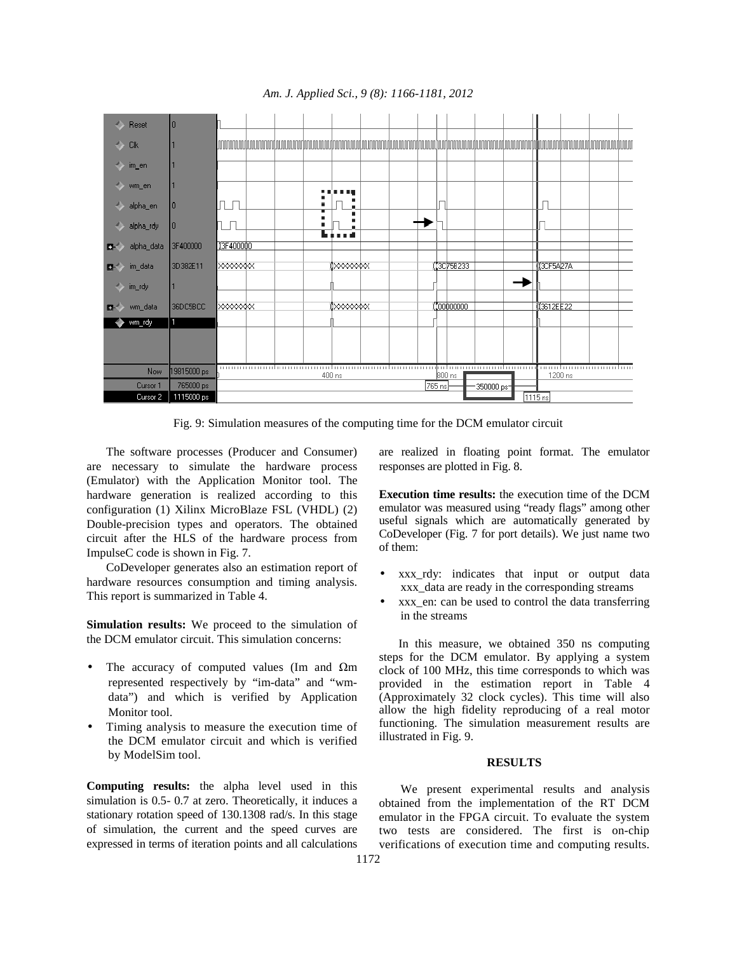

*Am. J. Applied Sci., 9 (8): 1166-1181, 2012* 

Fig. 9: Simulation measures of the computing time for the DCM emulator circuit

 The software processes (Producer and Consumer) are necessary to simulate the hardware process (Emulator) with the Application Monitor tool. The hardware generation is realized according to this configuration (1) Xilinx MicroBlaze FSL (VHDL) (2) Double-precision types and operators. The obtained circuit after the HLS of the hardware process from ImpulseC code is shown in Fig. 7.

 CoDeveloper generates also an estimation report of hardware resources consumption and timing analysis. This report is summarized in Table 4.

**Simulation results:** We proceed to the simulation of the DCM emulator circuit. This simulation concerns:

- The accuracy of computed values (Im and  $\Omega$ m represented respectively by "im-data" and "wmdata") and which is verified by Application Monitor tool.
- Timing analysis to measure the execution time of the DCM emulator circuit and which is verified by ModelSim tool.

**Computing results:** the alpha level used in this simulation is 0.5- 0.7 at zero. Theoretically, it induces a stationary rotation speed of 130.1308 rad/s. In this stage of simulation, the current and the speed curves are expressed in terms of iteration points and all calculations

are realized in floating point format. The emulator responses are plotted in Fig. 8.

**Execution time results:** the execution time of the DCM emulator was measured using "ready flags" among other useful signals which are automatically generated by CoDeveloper (Fig. 7 for port details). We just name two of them:

- xxx\_rdy: indicates that input or output data xxx\_data are ready in the corresponding streams
- xxx\_en: can be used to control the data transferring in the streams

 In this measure, we obtained 350 ns computing steps for the DCM emulator. By applying a system clock of 100 MHz, this time corresponds to which was provided in the estimation report in Table 4 (Approximately 32 clock cycles). This time will also allow the high fidelity reproducing of a real motor functioning. The simulation measurement results are illustrated in Fig. 9.

#### **RESULTS**

 We present experimental results and analysis obtained from the implementation of the RT DCM emulator in the FPGA circuit. To evaluate the system two tests are considered. The first is on-chip verifications of execution time and computing results.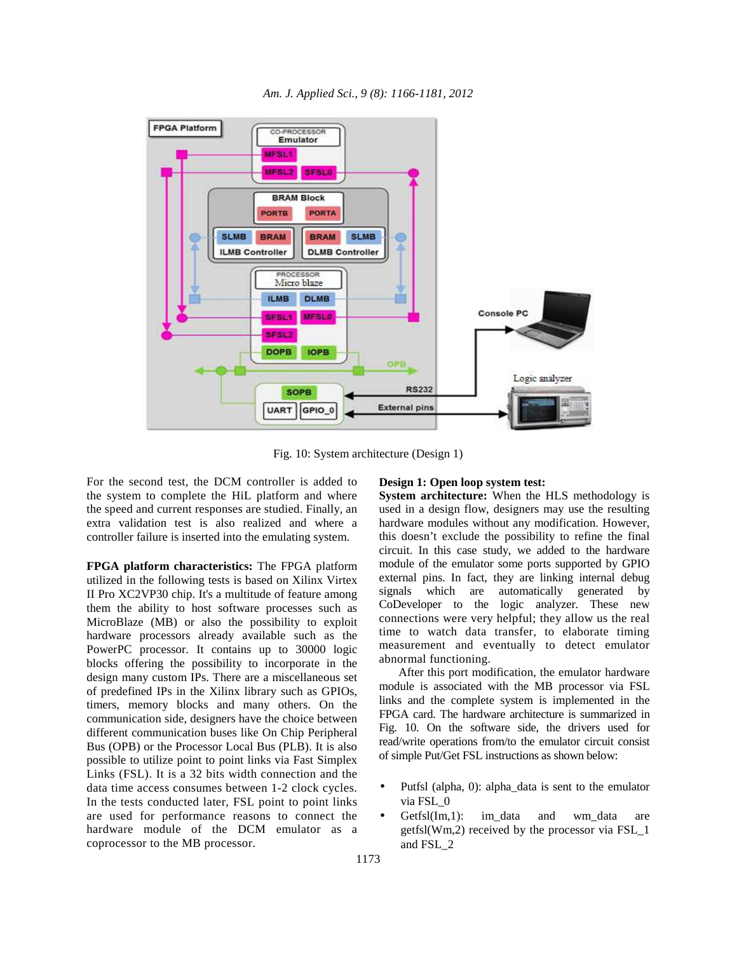

*Am. J. Applied Sci., 9 (8): 1166-1181, 2012* 

Fig. 10: System architecture (Design 1)

For the second test, the DCM controller is added to the system to complete the HiL platform and where the speed and current responses are studied. Finally, an extra validation test is also realized and where a controller failure is inserted into the emulating system.

**FPGA platform characteristics:** The FPGA platform utilized in the following tests is based on Xilinx Virtex II Pro XC2VP30 chip. It's a multitude of feature among them the ability to host software processes such as MicroBlaze (MB) or also the possibility to exploit hardware processors already available such as the PowerPC processor. It contains up to 30000 logic blocks offering the possibility to incorporate in the design many custom IPs. There are a miscellaneous set of predefined IPs in the Xilinx library such as GPIOs, timers, memory blocks and many others. On the communication side, designers have the choice between different communication buses like On Chip Peripheral Bus (OPB) or the Processor Local Bus (PLB). It is also possible to utilize point to point links via Fast Simplex Links (FSL). It is a 32 bits width connection and the data time access consumes between 1-2 clock cycles. In the tests conducted later, FSL point to point links are used for performance reasons to connect the hardware module of the DCM emulator as a coprocessor to the MB processor.

#### **Design 1: Open loop system test:**

**System architecture:** When the HLS methodology is used in a design flow, designers may use the resulting hardware modules without any modification. However, this doesn't exclude the possibility to refine the final circuit. In this case study, we added to the hardware module of the emulator some ports supported by GPIO external pins. In fact, they are linking internal debug signals which are automatically generated by CoDeveloper to the logic analyzer. These new connections were very helpful; they allow us the real time to watch data transfer, to elaborate timing measurement and eventually to detect emulator abnormal functioning.

 After this port modification, the emulator hardware module is associated with the MB processor via FSL links and the complete system is implemented in the FPGA card. The hardware architecture is summarized in Fig. 10. On the software side, the drivers used for read/write operations from/to the emulator circuit consist of simple Put/Get FSL instructions as shown below:

- Putfsl (alpha, 0): alpha\_data is sent to the emulator via FSL\_0
- Getfsl $(Im,1)$ : im data and wm data are getfsl(Wm,2) received by the processor via FSL\_1 and FSL\_2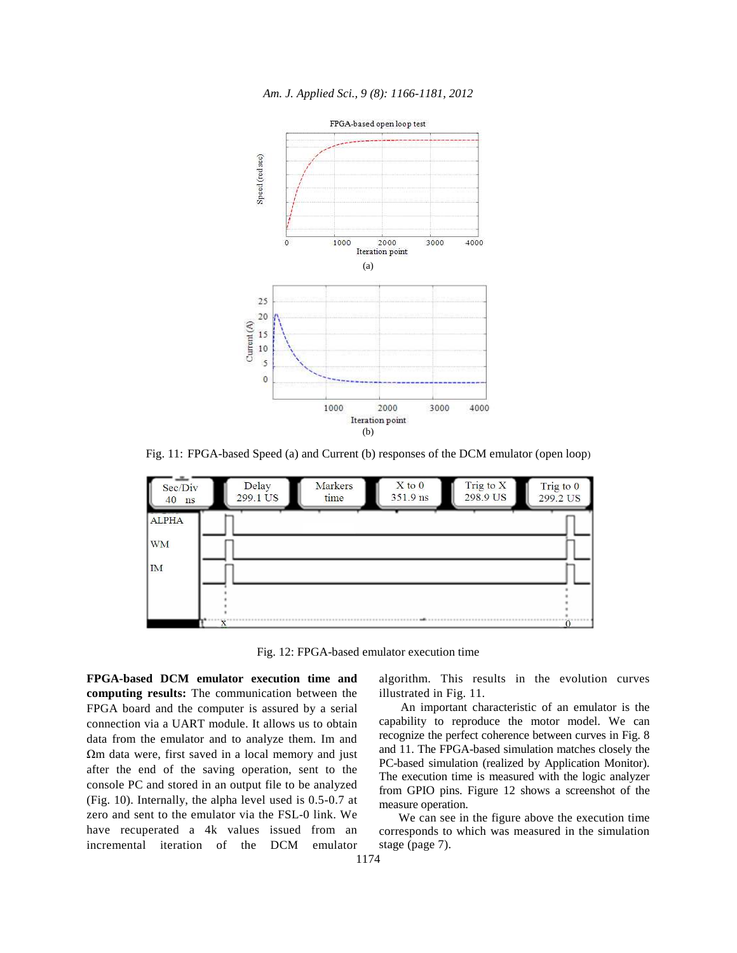

*Am. J. Applied Sci., 9 (8): 1166-1181, 2012* 

Fig. 11: FPGA-based Speed (a) and Current (b) responses of the DCM emulator (open loop)



Fig. 12: FPGA-based emulator execution time

**FPGA-based DCM emulator execution time and computing results:** The communication between the FPGA board and the computer is assured by a serial connection via a UART module. It allows us to obtain data from the emulator and to analyze them. Im and Ωm data were, first saved in a local memory and just after the end of the saving operation, sent to the console PC and stored in an output file to be analyzed (Fig. 10). Internally, the alpha level used is 0.5-0.7 at zero and sent to the emulator via the FSL-0 link. We have recuperated a 4k values issued from an incremental iteration of the DCM emulator

algorithm. This results in the evolution curves illustrated in Fig. 11.

 An important characteristic of an emulator is the capability to reproduce the motor model. We can recognize the perfect coherence between curves in Fig. 8 and 11. The FPGA-based simulation matches closely the PC-based simulation (realized by Application Monitor). The execution time is measured with the logic analyzer from GPIO pins. Figure 12 shows a screenshot of the measure operation.

 We can see in the figure above the execution time corresponds to which was measured in the simulation stage (page 7).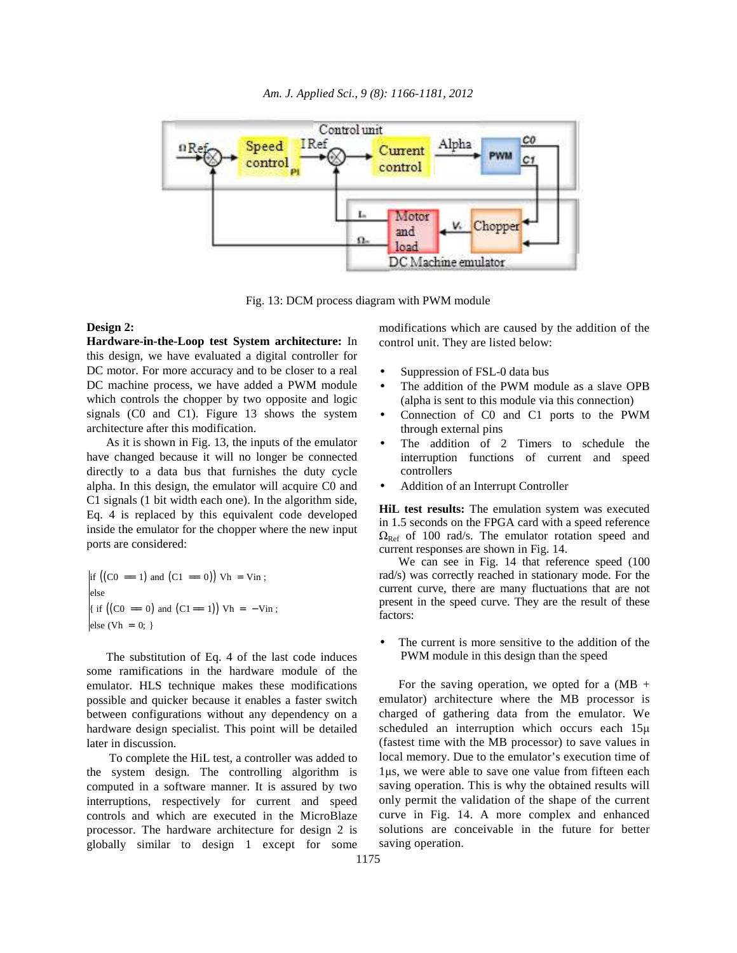

Fig. 13: DCM process diagram with PWM module

#### **Design 2:**

**Hardware-in-the-Loop test System architecture:** In this design, we have evaluated a digital controller for DC motor. For more accuracy and to be closer to a real DC machine process, we have added a PWM module which controls the chopper by two opposite and logic signals (C0 and C1). Figure 13 shows the system architecture after this modification.

 As it is shown in Fig. 13, the inputs of the emulator have changed because it will no longer be connected directly to a data bus that furnishes the duty cycle alpha. In this design, the emulator will acquire C0 and C1 signals (1 bit width each one). In the algorithm side, Eq. 4 is replaced by this equivalent code developed inside the emulator for the chopper where the new input ports are considered:

$$
\begin{aligned}\n\text{if } \left( \left( \text{CO} = 1 \right) \text{ and } \left( \text{C1} = 0 \right) \right) \text{ Vh} = \text{ Vin}; \\
\text{else} \\
\text{if } \left( \left( \text{CO} = 0 \right) \text{ and } \left( \text{C1} = 1 \right) \right) \text{ Vh} = -\text{ Vin}; \\
\text{else } \left( \text{Vh} = 0; \right)\n\end{aligned}
$$

 The substitution of Eq. 4 of the last code induces some ramifications in the hardware module of the emulator. HLS technique makes these modifications possible and quicker because it enables a faster switch between configurations without any dependency on a hardware design specialist. This point will be detailed later in discussion.

 To complete the HiL test, a controller was added to the system design. The controlling algorithm is computed in a software manner. It is assured by two interruptions, respectively for current and speed controls and which are executed in the MicroBlaze processor. The hardware architecture for design 2 is globally similar to design 1 except for some modifications which are caused by the addition of the control unit. They are listed below:

- Suppression of FSL-0 data bus
- The addition of the PWM module as a slave OPB (alpha is sent to this module via this connection)
- Connection of C0 and C1 ports to the PWM through external pins
- The addition of 2 Timers to schedule the interruption functions of current and speed controllers
- Addition of an Interrupt Controller

**HiL test results:** The emulation system was executed in 1.5 seconds on the FPGA card with a speed reference  $\Omega_{\text{Ref}}$  of 100 rad/s. The emulator rotation speed and current responses are shown in Fig. 14.

 We can see in Fig. 14 that reference speed (100 rad/s) was correctly reached in stationary mode. For the current curve, there are many fluctuations that are not present in the speed curve. They are the result of these factors:

The current is more sensitive to the addition of the PWM module in this design than the speed

For the saving operation, we opted for a  $(MB +$ emulator) architecture where the MB processor is charged of gathering data from the emulator. We scheduled an interruption which occurs each  $15\mu$ (fastest time with the MB processor) to save values in local memory. Due to the emulator's execution time of 1µs, we were able to save one value from fifteen each saving operation. This is why the obtained results will only permit the validation of the shape of the current curve in Fig. 14. A more complex and enhanced solutions are conceivable in the future for better saving operation.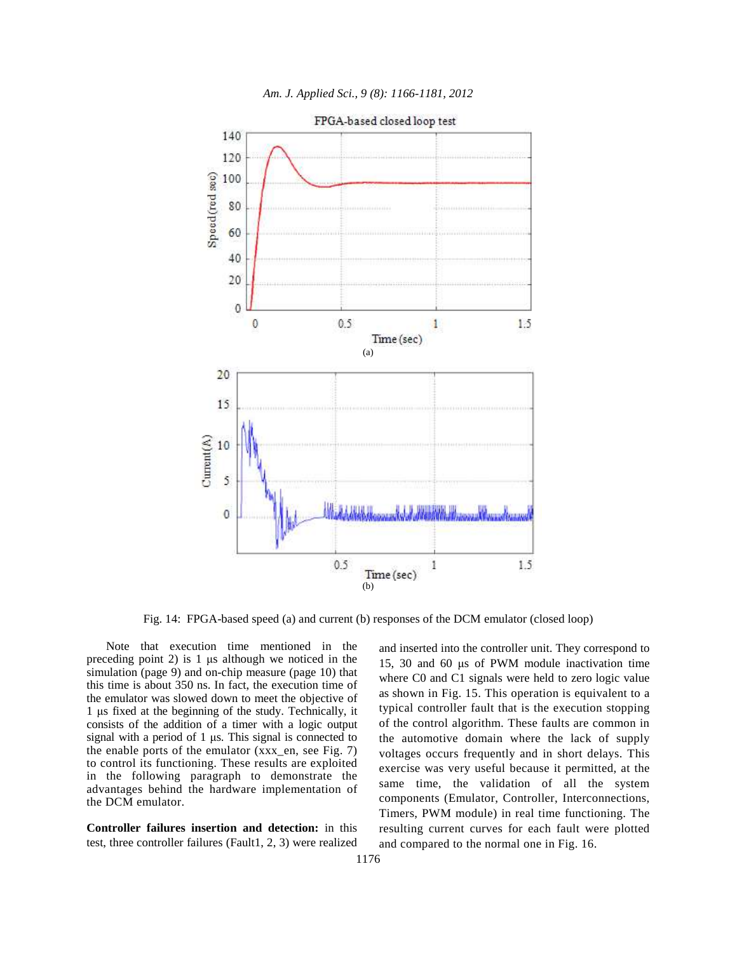

*Am. J. Applied Sci., 9 (8): 1166-1181, 2012* 

Fig. 14: FPGA-based speed (a) and current (b) responses of the DCM emulator (closed loop)

 Note that execution time mentioned in the preceding point 2) is 1 µs although we noticed in the simulation (page 9) and on-chip measure (page 10) that this time is about 350 ns. In fact, the execution time of the emulator was slowed down to meet the objective of 1 µs fixed at the beginning of the study. Technically, it consists of the addition of a timer with a logic output signal with a period of 1 µs. This signal is connected to the enable ports of the emulator (xxx\_en, see Fig. 7) to control its functioning. These results are exploited in the following paragraph to demonstrate the advantages behind the hardware implementation of the DCM emulator.

**Controller failures insertion and detection:** in this test, three controller failures (Fault1, 2, 3) were realized and inserted into the controller unit. They correspond to 15, 30 and 60 µs of PWM module inactivation time where C0 and C1 signals were held to zero logic value as shown in Fig. 15. This operation is equivalent to a typical controller fault that is the execution stopping of the control algorithm. These faults are common in the automotive domain where the lack of supply voltages occurs frequently and in short delays. This exercise was very useful because it permitted, at the same time, the validation of all the system components (Emulator, Controller, Interconnections, Timers, PWM module) in real time functioning. The resulting current curves for each fault were plotted and compared to the normal one in Fig. 16.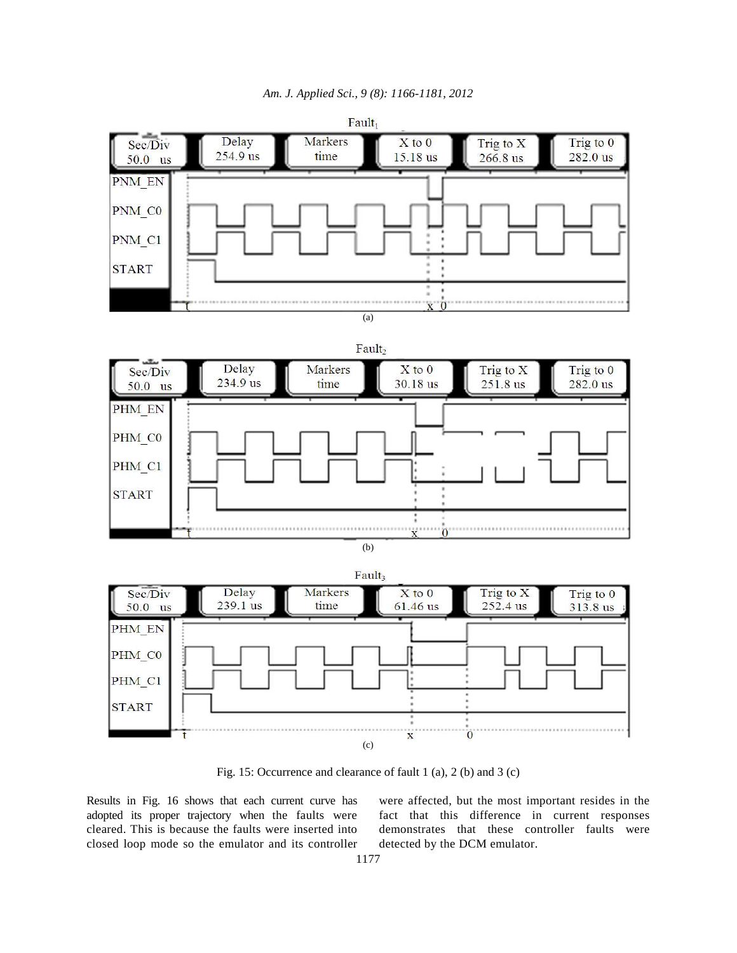







(b)



Fig. 15: Occurrence and clearance of fault 1 (a), 2 (b) and 3 (c)

Results in Fig. 16 shows that each current curve has adopted its proper trajectory when the faults were cleared. This is because the faults were inserted into closed loop mode so the emulator and its controller

were affected, but the most important resides in the fact that this difference in current responses demonstrates that these controller faults were detected by the DCM emulator.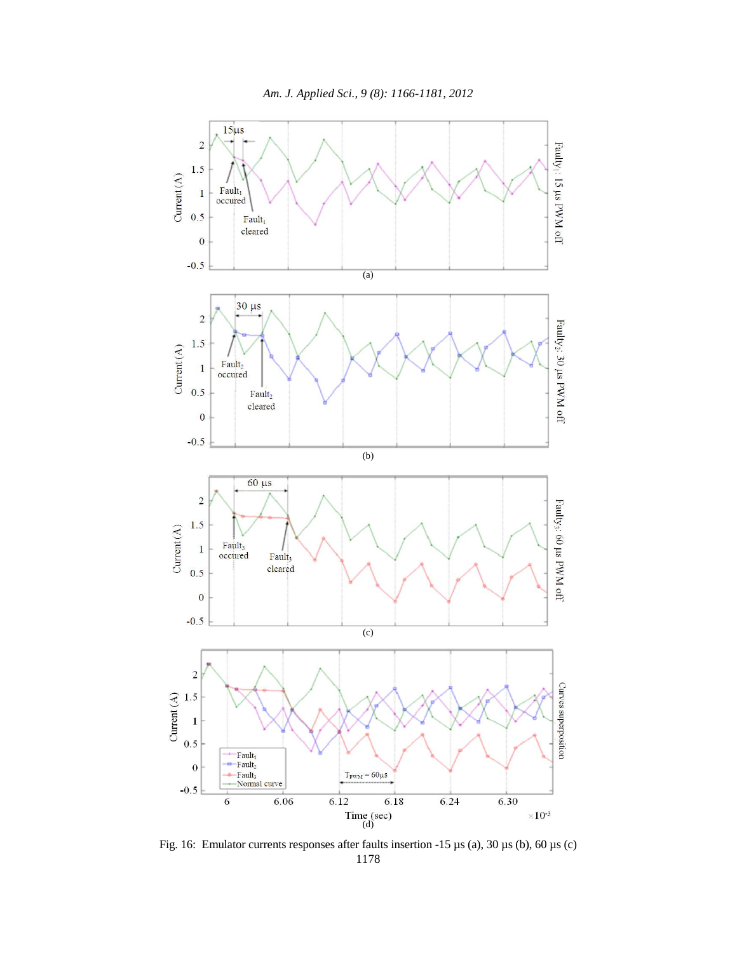

1178 Fig. 16: Emulator currents responses after faults insertion -15 µs (a), 30 µs (b), 60 µs (c)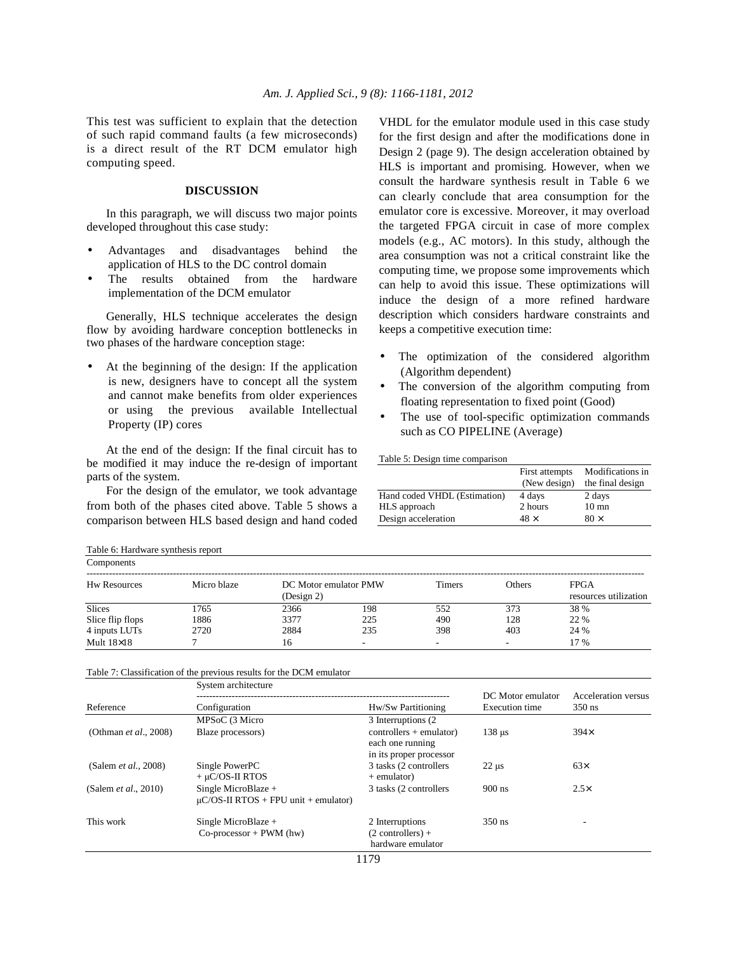This test was sufficient to explain that the detection of such rapid command faults (a few microseconds) is a direct result of the RT DCM emulator high computing speed.

### **DISCUSSION**

 In this paragraph, we will discuss two major points developed throughout this case study:

- Advantages and disadvantages behind the application of HLS to the DC control domain
- The results obtained from the hardware implementation of the DCM emulator

 Generally, HLS technique accelerates the design flow by avoiding hardware conception bottlenecks in two phases of the hardware conception stage:

At the beginning of the design: If the application is new, designers have to concept all the system and cannot make benefits from older experiences or using the previous available Intellectual Property (IP) cores

 At the end of the design: If the final circuit has to be modified it may induce the re-design of important parts of the system.

 For the design of the emulator, we took advantage from both of the phases cited above. Table 5 shows a comparison between HLS based design and hand coded VHDL for the emulator module used in this case study for the first design and after the modifications done in Design 2 (page 9). The design acceleration obtained by HLS is important and promising. However, when we consult the hardware synthesis result in Table 6 we can clearly conclude that area consumption for the emulator core is excessive. Moreover, it may overload the targeted FPGA circuit in case of more complex models (e.g., AC motors). In this study, although the area consumption was not a critical constraint like the computing time, we propose some improvements which can help to avoid this issue. These optimizations will induce the design of a more refined hardware description which considers hardware constraints and keeps a competitive execution time:

- The optimization of the considered algorithm (Algorithm dependent)
- The conversion of the algorithm computing from floating representation to fixed point (Good)
- The use of tool-specific optimization commands such as CO PIPELINE (Average)

#### Table 5: Design time comparison

|                              | First attempts<br>(New design) | Modifications in<br>the final design |
|------------------------------|--------------------------------|--------------------------------------|
| Hand coded VHDL (Estimation) | 4 days                         | 2 days                               |
| HLS approach                 | 2 hours                        | $10 \text{ mm}$                      |
| Design acceleration          | $48 \times$                    | $80 \times$                          |

| Table 6: Hardware synthesis report |             |            |                       |                          |               |                                      |
|------------------------------------|-------------|------------|-----------------------|--------------------------|---------------|--------------------------------------|
| Components                         |             |            |                       |                          |               |                                      |
| <b>Hw Resources</b>                | Micro blaze | (Design 2) | DC Motor emulator PMW | <b>Timers</b>            | <b>Others</b> | <b>FPGA</b><br>resources utilization |
| <b>Slices</b>                      | 1765        | 2366       | 198                   | 552                      | 373           | 38 %                                 |
| Slice flip flops                   | 1886        | 3377       | 225                   | 490                      | 128           | 22 %                                 |
| 4 inputs LUTs                      | 2720        | 2884       | 235                   | 398                      | 403           | 24 %                                 |
| Mult $18\times18$                  |             | 16         | -                     | $\overline{\phantom{a}}$ |               | 17 %                                 |

Table 7: Classification of the previous results for the DCM emulator

|                               | System architecture                                              |                                                                          |                                            |                                 |
|-------------------------------|------------------------------------------------------------------|--------------------------------------------------------------------------|--------------------------------------------|---------------------------------|
| Reference                     | Configuration                                                    | Hw/Sw Partitioning                                                       | DC Motor emulator<br><b>Execution</b> time | Acceleration versus<br>$350$ ns |
|                               | MPSoC (3 Micro                                                   | 3 Interruptions (2)                                                      |                                            |                                 |
| (Othman <i>et al.</i> , 2008) | Blaze processors)                                                | $controllers + emulator)$<br>each one running<br>in its proper processor | $138 \text{ }\mu\text{s}$                  | $394\times$                     |
| (Salem <i>et al.</i> , 2008)  | Single PowerPC<br>$+ \mu$ C/OS-II RTOS                           | 3 tasks (2 controllers)<br>+ emulator)                                   | $22 \mu s$                                 | $63\times$                      |
| (Salem <i>et al.</i> , 2010)  | Single MicroBlaze +<br>$\mu$ C/OS-II RTOS + FPU unit + emulator) | 3 tasks (2 controllers)                                                  | $900$ ns                                   | $2.5\times$                     |
| This work                     | Single MicroBlaze $+$<br>$Co\text{-}processor + PWM$ (hw)        | 2 Interruptions<br>$(2$ controllers) +<br>hardware emulator              | $350$ ns                                   |                                 |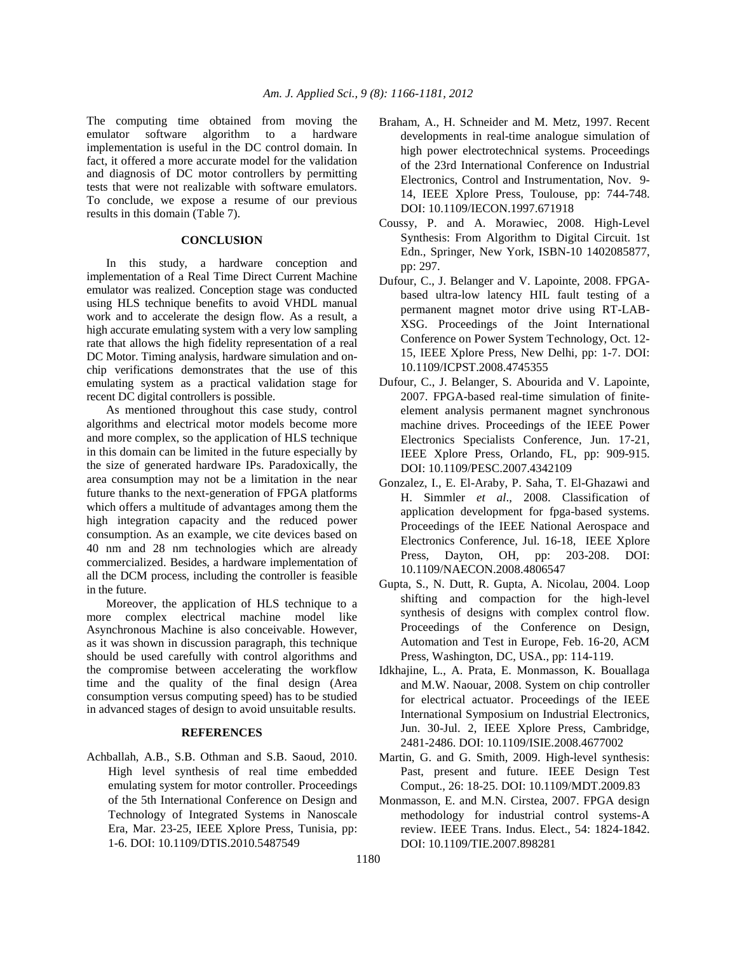The computing time obtained from moving the emulator software algorithm to a hardware implementation is useful in the DC control domain. In fact, it offered a more accurate model for the validation and diagnosis of DC motor controllers by permitting tests that were not realizable with software emulators. To conclude, we expose a resume of our previous results in this domain (Table 7).

## **CONCLUSION**

 In this study, a hardware conception and implementation of a Real Time Direct Current Machine emulator was realized. Conception stage was conducted using HLS technique benefits to avoid VHDL manual work and to accelerate the design flow. As a result, a high accurate emulating system with a very low sampling rate that allows the high fidelity representation of a real DC Motor. Timing analysis, hardware simulation and onchip verifications demonstrates that the use of this emulating system as a practical validation stage for recent DC digital controllers is possible.

 As mentioned throughout this case study, control algorithms and electrical motor models become more and more complex, so the application of HLS technique in this domain can be limited in the future especially by the size of generated hardware IPs. Paradoxically, the area consumption may not be a limitation in the near future thanks to the next-generation of FPGA platforms which offers a multitude of advantages among them the high integration capacity and the reduced power consumption. As an example, we cite devices based on 40 nm and 28 nm technologies which are already commercialized. Besides, a hardware implementation of all the DCM process, including the controller is feasible in the future.

 Moreover, the application of HLS technique to a more complex electrical machine model like Asynchronous Machine is also conceivable. However, as it was shown in discussion paragraph, this technique should be used carefully with control algorithms and the compromise between accelerating the workflow time and the quality of the final design (Area consumption versus computing speed) has to be studied in advanced stages of design to avoid unsuitable results.

#### **REFERENCES**

Achballah, A.B., S.B. Othman and S.B. Saoud, 2010. High level synthesis of real time embedded emulating system for motor controller. Proceedings of the 5th International Conference on Design and Technology of Integrated Systems in Nanoscale Era, Mar. 23-25, IEEE Xplore Press, Tunisia, pp: 1-6. DOI: 10.1109/DTIS.2010.5487549

- Braham, A., H. Schneider and M. Metz, 1997. Recent developments in real-time analogue simulation of high power electrotechnical systems. Proceedings of the 23rd International Conference on Industrial Electronics, Control and Instrumentation, Nov. 9- 14, IEEE Xplore Press, Toulouse, pp: 744-748. DOI: 10.1109/IECON.1997.671918
- Coussy, P. and A. Morawiec, 2008. High-Level Synthesis: From Algorithm to Digital Circuit. 1st Edn., Springer, New York, ISBN-10 1402085877, pp: 297.
- Dufour, C., J. Belanger and V. Lapointe, 2008. FPGAbased ultra-low latency HIL fault testing of a permanent magnet motor drive using RT-LAB-XSG. Proceedings of the Joint International Conference on Power System Technology, Oct. 12- 15, IEEE Xplore Press, New Delhi, pp: 1-7. DOI: 10.1109/ICPST.2008.4745355
- Dufour, C., J. Belanger, S. Abourida and V. Lapointe, 2007. FPGA-based real-time simulation of finiteelement analysis permanent magnet synchronous machine drives. Proceedings of the IEEE Power Electronics Specialists Conference, Jun. 17-21, IEEE Xplore Press, Orlando, FL, pp: 909-915. DOI: 10.1109/PESC.2007.4342109
- Gonzalez, I., E. El-Araby, P. Saha, T. El-Ghazawi and H. Simmler *et al*., 2008. Classification of application development for fpga-based systems. Proceedings of the IEEE National Aerospace and Electronics Conference, Jul. 16-18, IEEE Xplore Press, Dayton, OH, pp: 203-208. DOI: 10.1109/NAECON.2008.4806547
- Gupta, S., N. Dutt, R. Gupta, A. Nicolau, 2004. Loop shifting and compaction for the high-level synthesis of designs with complex control flow. Proceedings of the Conference on Design, Automation and Test in Europe, Feb. 16-20, ACM Press, Washington, DC, USA., pp: 114-119.
- Idkhajine, L., A. Prata, E. Monmasson, K. Bouallaga and M.W. Naouar, 2008. System on chip controller for electrical actuator. Proceedings of the IEEE International Symposium on Industrial Electronics, Jun. 30-Jul. 2, IEEE Xplore Press, Cambridge, 2481-2486. DOI: 10.1109/ISIE.2008.4677002
- Martin, G. and G. Smith, 2009. High-level synthesis: Past, present and future. IEEE Design Test Comput., 26: 18-25. DOI: 10.1109/MDT.2009.83
- Monmasson, E. and M.N. Cirstea, 2007. FPGA design methodology for industrial control systems-A review. IEEE Trans. Indus. Elect., 54: 1824-1842. DOI: 10.1109/TIE.2007.898281